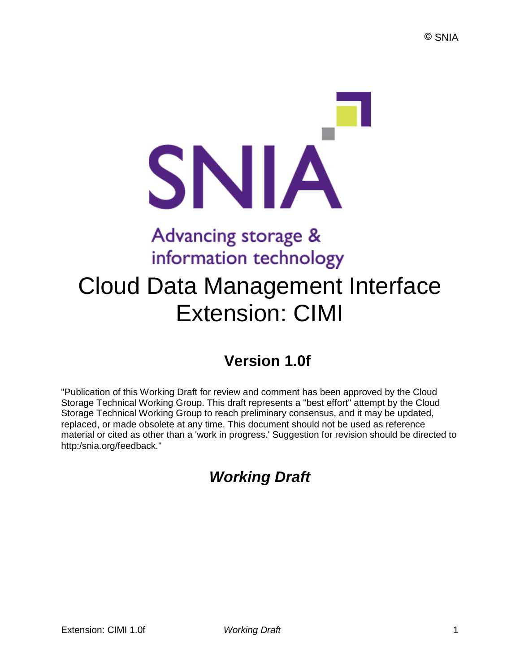# SNIA Advancing storage & information technology

## Cloud Data Management Interface Extension: CIMI

## **Version 1.0f**

"Publication of this Working Draft for review and comment has been approved by the Cloud Storage Technical Working Group. This draft represents a "best effort" attempt by the Cloud Storage Technical Working Group to reach preliminary consensus, and it may be updated, replaced, or made obsolete at any time. This document should not be used as reference material or cited as other than a 'work in progress.' Suggestion for revision should be directed to http:/snia.org/feedback."

## *Working Draft*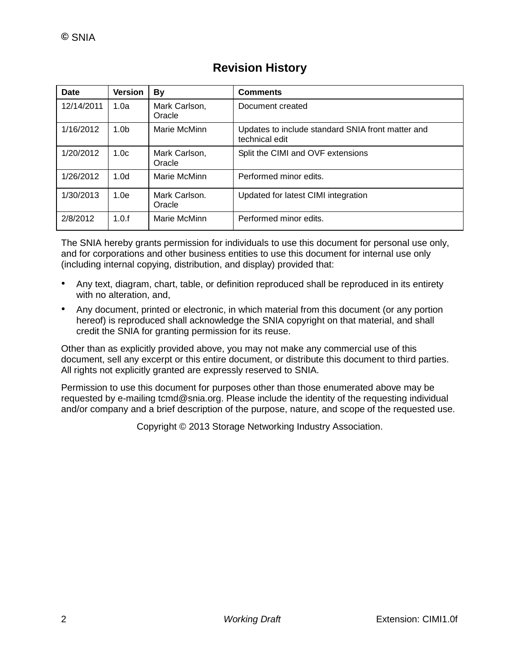| Date       | <b>Version</b>   | <b>By</b>               | <b>Comments</b>                                                     |
|------------|------------------|-------------------------|---------------------------------------------------------------------|
| 12/14/2011 | 1.0a             | Mark Carlson,<br>Oracle | Document created                                                    |
| 1/16/2012  | 1.0 <sub>b</sub> | Marie McMinn            | Updates to include standard SNIA front matter and<br>technical edit |
| 1/20/2012  | 1.0 <sub>c</sub> | Mark Carlson,<br>Oracle | Split the CIMI and OVF extensions                                   |
| 1/26/2012  | 1.0 <sub>d</sub> | Marie McMinn            | Performed minor edits.                                              |
| 1/30/2013  | 1.0e             | Mark Carlson.<br>Oracle | Updated for latest CIMI integration                                 |
| 2/8/2012   | 1.0.f            | Marie McMinn            | Performed minor edits.                                              |

### **Revision History**

The SNIA hereby grants permission for individuals to use this document for personal use only, and for corporations and other business entities to use this document for internal use only (including internal copying, distribution, and display) provided that:

- Any text, diagram, chart, table, or definition reproduced shall be reproduced in its entirety with no alteration, and,
- Any document, printed or electronic, in which material from this document (or any portion hereof) is reproduced shall acknowledge the SNIA copyright on that material, and shall credit the SNIA for granting permission for its reuse.

Other than as explicitly provided above, you may not make any commercial use of this document, sell any excerpt or this entire document, or distribute this document to third parties. All rights not explicitly granted are expressly reserved to SNIA.

Permission to use this document for purposes other than those enumerated above may be requested by e-mailing tcmd@snia.org. Please include the identity of the requesting individual and/or company and a brief description of the purpose, nature, and scope of the requested use.

Copyright © 2013 Storage Networking Industry Association.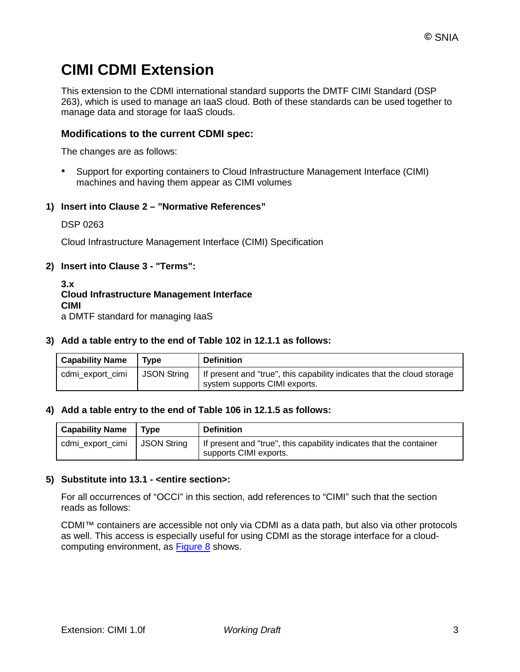## **CIMI CDMI Extension**

This extension to the CDMI international standard supports the DMTF CIMI Standard (DSP 263), which is used to manage an IaaS cloud. Both of these standards can be used together to manage data and storage for IaaS clouds.

#### **Modifications to the current CDMI spec:**

The changes are as follows:

• Support for exporting containers to Cloud Infrastructure Management Interface (CIMI) machines and having them appear as CIMI volumes

#### **1) Insert into Clause 2 – "Normative References"**

DSP 0263

Cloud Infrastructure Management Interface (CIMI) Specification

#### **2) Insert into Clause 3 - "Terms":**

**3.x Cloud Infrastructure Management Interface CIMI** a DMTF standard for managing IaaS

#### **3) Add a table entry to the end of Table 102 in 12.1.1 as follows:**

| <b>Capability Name</b> | <b>Type</b> | <b>Definition</b>                                                                                          |
|------------------------|-------------|------------------------------------------------------------------------------------------------------------|
| cdmi export cimi       | JSON String | If present and "true", this capability indicates that the cloud storage<br>I system supports CIMI exports. |

#### **4) Add a table entry to the end of Table 106 in 12.1.5 as follows:**

| <b>Capability Name</b> | Type               | <b>Definition</b>                                                                             |
|------------------------|--------------------|-----------------------------------------------------------------------------------------------|
| cdmi_export_cimi       | <b>JSON String</b> | If present and "true", this capability indicates that the container<br>supports CIMI exports. |

#### **5) Substitute into 13.1 - <entire section>:**

For all occurrences of "OCCI" in this section, add references to "CIMI" such that the section reads as follows:

CDMI™ containers are accessible not only via CDMI as a data path, but also via other protocols as well. This access is especially useful for using CDMI as the storage interface for a cloudcomputing environment, as [Figure 8](http://cdmi.sniacloud.com/CDMI_Spec/13-Exported_Protocols/13-Exported_Protocols.htm%23XREF_36037_Figure_9_CDMI_and) shows.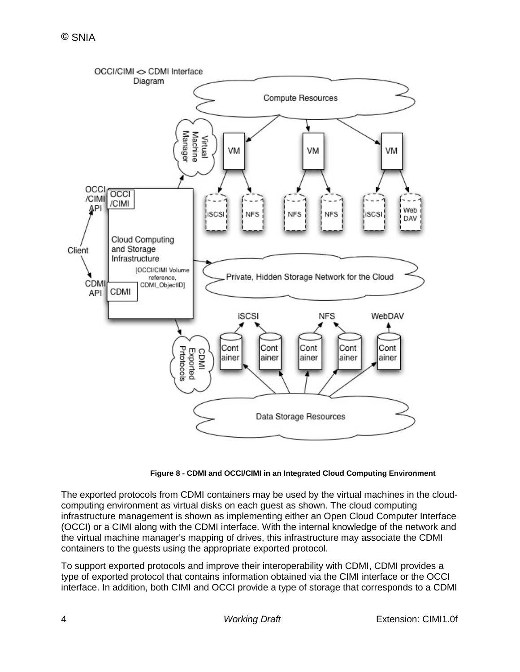

**Figure 8 - CDMI and OCCI/CIMI in an Integrated Cloud Computing Environment**

The exported protocols from CDMI containers may be used by the virtual machines in the cloudcomputing environment as virtual disks on each guest as shown. The cloud computing infrastructure management is shown as implementing either an Open Cloud Computer Interface (OCCI) or a CIMI along with the CDMI interface. With the internal knowledge of the network and the virtual machine manager's mapping of drives, this infrastructure may associate the CDMI containers to the guests using the appropriate exported protocol.

To support exported protocols and improve their interoperability with CDMI, CDMI provides a type of exported protocol that contains information obtained via the CIMI interface or the OCCI interface. In addition, both CIMI and OCCI provide a type of storage that corresponds to a CDMI